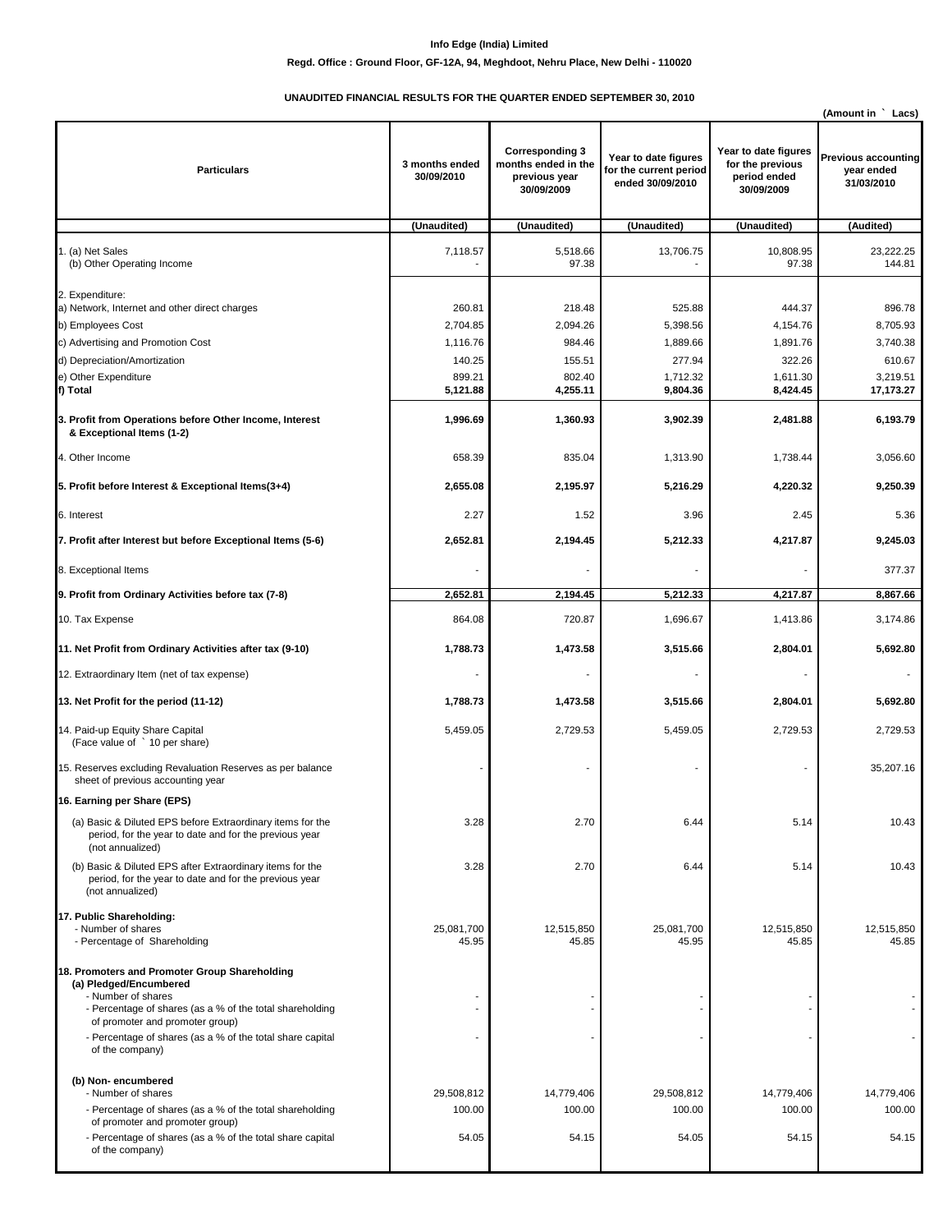## **Info Edge (India) Limited**

## **Regd. Office : Ground Floor, GF-12A, 94, Meghdoot, Nehru Place, New Delhi - 110020**

## **UNAUDITED FINANCIAL RESULTS FOR THE QUARTER ENDED SEPTEMBER 30, 2010**

|                                                                                                                                                           |                              |                                                                              |                                                                    |                                                                        | (Amount in<br>Lacs)                                    |
|-----------------------------------------------------------------------------------------------------------------------------------------------------------|------------------------------|------------------------------------------------------------------------------|--------------------------------------------------------------------|------------------------------------------------------------------------|--------------------------------------------------------|
| <b>Particulars</b>                                                                                                                                        | 3 months ended<br>30/09/2010 | <b>Corresponding 3</b><br>months ended in the<br>previous year<br>30/09/2009 | Year to date figures<br>for the current period<br>ended 30/09/2010 | Year to date figures<br>for the previous<br>period ended<br>30/09/2009 | <b>Previous accounting</b><br>year ended<br>31/03/2010 |
|                                                                                                                                                           | (Unaudited)                  | (Unaudited)                                                                  | (Unaudited)                                                        | (Unaudited)                                                            | (Audited)                                              |
| 1. (a) Net Sales<br>(b) Other Operating Income                                                                                                            | 7,118.57                     | 5,518.66<br>97.38                                                            | 13,706.75                                                          | 10,808.95<br>97.38                                                     | 23,222.25<br>144.81                                    |
| 2. Expenditure:<br>a) Network, Internet and other direct charges<br>b) Employees Cost                                                                     | 260.81<br>2,704.85           | 218.48<br>2,094.26                                                           | 525.88<br>5,398.56                                                 | 444.37<br>4,154.76                                                     | 896.78<br>8,705.93                                     |
| c) Advertising and Promotion Cost                                                                                                                         | 1,116.76                     | 984.46                                                                       | 1,889.66                                                           | 1,891.76                                                               | 3,740.38                                               |
| d) Depreciation/Amortization                                                                                                                              | 140.25                       | 155.51                                                                       | 277.94                                                             | 322.26                                                                 | 610.67                                                 |
| e) Other Expenditure                                                                                                                                      | 899.21                       | 802.40                                                                       | 1,712.32                                                           | 1,611.30                                                               | 3,219.51                                               |
| f) Total                                                                                                                                                  | 5,121.88                     | 4,255.11                                                                     | 9,804.36                                                           | 8,424.45                                                               | 17,173.27                                              |
| 3. Profit from Operations before Other Income, Interest<br>& Exceptional Items (1-2)                                                                      | 1,996.69                     | 1,360.93                                                                     | 3,902.39                                                           | 2,481.88                                                               | 6,193.79                                               |
| 4. Other Income                                                                                                                                           | 658.39                       | 835.04                                                                       | 1,313.90                                                           | 1,738.44                                                               | 3,056.60                                               |
| 5. Profit before Interest & Exceptional Items(3+4)                                                                                                        | 2,655.08                     | 2,195.97                                                                     | 5,216.29                                                           | 4,220.32                                                               | 9,250.39                                               |
| 6. Interest                                                                                                                                               | 2.27                         | 1.52                                                                         | 3.96                                                               | 2.45                                                                   | 5.36                                                   |
| 7. Profit after Interest but before Exceptional Items (5-6)                                                                                               | 2,652.81                     | 2,194.45                                                                     | 5,212.33                                                           | 4,217.87                                                               | 9,245.03                                               |
| 8. Exceptional Items                                                                                                                                      | Ĭ.                           |                                                                              |                                                                    |                                                                        | 377.37                                                 |
| 9. Profit from Ordinary Activities before tax (7-8)                                                                                                       | 2,652.81                     | 2,194.45                                                                     | 5,212.33                                                           | 4,217.87                                                               | 8,867.66                                               |
| 10. Tax Expense                                                                                                                                           | 864.08                       | 720.87                                                                       | 1,696.67                                                           | 1,413.86                                                               | 3,174.86                                               |
| 11. Net Profit from Ordinary Activities after tax (9-10)                                                                                                  | 1,788.73                     | 1,473.58                                                                     | 3,515.66                                                           | 2,804.01                                                               | 5,692.80                                               |
| 12. Extraordinary Item (net of tax expense)                                                                                                               | Ĭ.                           | $\overline{\phantom{a}}$                                                     | $\overline{\phantom{a}}$                                           |                                                                        |                                                        |
| 13. Net Profit for the period (11-12)                                                                                                                     | 1,788.73                     | 1,473.58                                                                     | 3,515.66                                                           | 2,804.01                                                               | 5,692.80                                               |
| 14. Paid-up Equity Share Capital<br>(Face value of ` 10 per share)                                                                                        | 5,459.05                     | 2,729.53                                                                     | 5,459.05                                                           | 2,729.53                                                               | 2,729.53                                               |
| 15. Reserves excluding Revaluation Reserves as per balance<br>sheet of previous accounting year                                                           |                              |                                                                              |                                                                    |                                                                        | 35,207.16                                              |
| 16. Earning per Share (EPS)                                                                                                                               |                              |                                                                              |                                                                    |                                                                        |                                                        |
| (a) Basic & Diluted EPS before Extraordinary items for the<br>period, for the year to date and for the previous year<br>(not annualized)                  | 3.28                         | 2.70                                                                         | 6.44                                                               | 5.14                                                                   | 10.43                                                  |
| (b) Basic & Diluted EPS after Extraordinary items for the<br>period, for the year to date and for the previous year<br>(not annualized)                   | 3.28                         | 2.70                                                                         | 6.44                                                               | 5.14                                                                   | 10.43                                                  |
| 17. Public Shareholding:<br>- Number of shares<br>- Percentage of Shareholding                                                                            | 25,081,700<br>45.95          | 12,515,850<br>45.85                                                          | 25,081,700<br>45.95                                                | 12,515,850<br>45.85                                                    | 12,515,850<br>45.85                                    |
| 18. Promoters and Promoter Group Shareholding<br>(a) Pledged/Encumbered<br>- Number of shares<br>- Percentage of shares (as a % of the total shareholding | ٠                            |                                                                              |                                                                    |                                                                        |                                                        |
| of promoter and promoter group)<br>- Percentage of shares (as a % of the total share capital<br>of the company)                                           |                              |                                                                              |                                                                    |                                                                        |                                                        |
| (b) Non-encumbered<br>- Number of shares                                                                                                                  | 29,508,812                   | 14,779,406                                                                   | 29,508,812                                                         | 14,779,406                                                             | 14,779,406                                             |
| - Percentage of shares (as a % of the total shareholding<br>of promoter and promoter group)                                                               | 100.00                       | 100.00                                                                       | 100.00                                                             | 100.00                                                                 | 100.00                                                 |
| - Percentage of shares (as a % of the total share capital<br>of the company)                                                                              | 54.05                        | 54.15                                                                        | 54.05                                                              | 54.15                                                                  | 54.15                                                  |